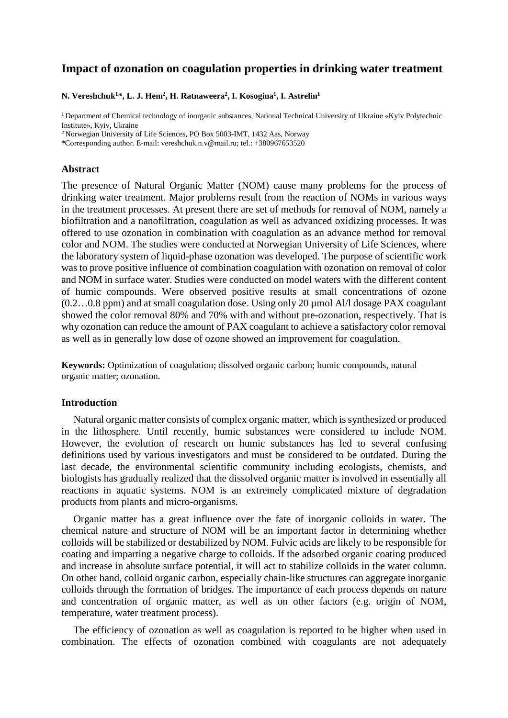# **Impact of ozonation on coagulation properties in drinking water treatment**

**N. Vereshchuk1 \*, L. [J. Hem2](http://www.sciencedirect.com/science/article/pii/S0160412098001135) , [H. Ratnaweera2](http://www.sciencedirect.com/science/article/pii/S1383586614002081) , I. Kosogina1 , I. Astrelin1**

1 Department of Chemical technology of inorganic substances, National Technical University of Ukraine «Kyiv Polytechnic Institute», Kyiv, Ukraine

2 Norwegian University of Life Sciences, PO Box 5003-IMT, 1432 Aas, Norway

\*Corresponding author. E-mail: [vereshchuk.n.v@mail.ru;](mailto:vereshchuk.n.v@mail.ru) tel.: +380967653520

## **Abstract**

The presence of Natural Organic Matter (NOM) cause many problems for the process of drinking water treatment. Major problems result from the reaction of NOMs in various ways in the treatment processes. At present there are set of methods for removal of NOM, namely a biofiltration and a nanofiltration, coagulation as well as advanced oxidizing processes. It was offered to use ozonation in combination with coagulation as an advance method for removal color and NOM. The studies were conducted at Norwegian University of Life Sciences, where the laboratory system of liquid-phase ozonation was developed. The purpose of scientific work was to prove positive influence of combination coagulation with ozonation on removal of color and NOM in surface water. Studies were conducted on model waters with the different content of humic compounds. Were observed positive results at small concentrations of ozone (0.2…0.8 ppm) and at small coagulation dose. Using only 20 µmol Al/l dosage PAX coagulant showed the color removal 80% and 70% with and without pre-ozonation, respectively. That is why ozonation can reduce the amount of PAX coagulant to achieve a satisfactory color removal as well as in generally low dose of ozone showed an improvement for coagulation.

**Keywords:** Optimization of coagulation; dissolved organic carbon; humic compounds, natural organic matter; ozonation.

## **Introduction**

Natural organic matter consists of complex organic matter, which is synthesized or produced in the lithosphere. Until recently, humic substances were considered to include NOM. However, the evolution of research on humic substances has led to several confusing definitions used by various investigators and must be considered to be outdated. During the last decade, the environmental scientific community including ecologists, chemists, and biologists has gradually realized that the dissolved organic matter is involved in essentially all reactions in aquatic systems. NOM is an extremely complicated mixture of degradation products from plants and micro-organisms.

Organic matter has a great influence over the fate of inorganic colloids in water. The chemical nature and structure of NOM will be an important factor in determining whether colloids will be stabilized or destabilized by NOM. Fulvic acids are likely to be responsible for coating and imparting a negative charge to colloids. If the adsorbed organic coating produced and increase in absolute surface potential, it will act to stabilize colloids in the water column. On other hand, colloid organic carbon, especially chain-like structures can aggregate inorganic colloids through the formation of bridges. The importance of each process depends on nature and concentration of organic matter, as well as on other factors (e.g. origin of NOM, temperature, water treatment process).

The efficiency of ozonation as well as coagulation is reported to be higher when used in combination. The effects of ozonation combined with coagulants are not adequately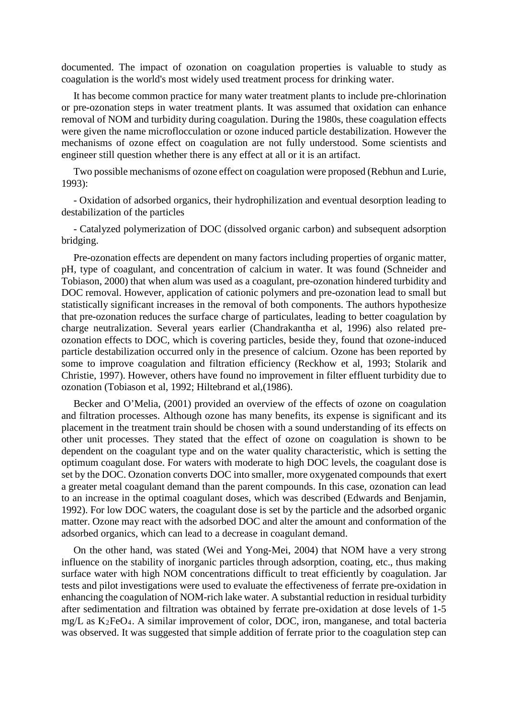documented. The impact of ozonation on coagulation properties is valuable to study as coagulation is the world's most widely used treatment process for drinking water.

It has become common practice for many water treatment plants to include pre-chlorination or pre-ozonation steps in water treatment plants. It was assumed that oxidation can enhance removal of NOM and turbidity during coagulation. During the 1980s, these coagulation effects were given the name microflocculation or ozone induced particle destabilization. However the mechanisms of ozone effect on coagulation are not fully understood. Some scientists and engineer still question whether there is any effect at all or it is an artifact.

Two possible mechanisms of ozone effect on coagulation were proposed (Rebhun and Lurie, 1993):

- Oxidation of adsorbed organics, their hydrophilization and eventual desorption leading to destabilization of the particles

- Catalyzed polymerization of DOC (dissolved organic carbon) and subsequent adsorption bridging.

Pre-ozonation effects are dependent on many factors including properties of organic matter, pH, type of coagulant, and concentration of calcium in water. It was found (Schneider and Tobiason, 2000) that when alum was used as a coagulant, pre-ozonation hindered turbidity and DOC removal. However, application of cationic polymers and pre-ozonation lead to small but statistically significant increases in the removal of both components. The authors hypothesize that pre-ozonation reduces the surface charge of particulates, leading to better coagulation by charge neutralization. Several years earlier (Chandrakantha et al, 1996) also related preozonation effects to DOC, which is covering particles, beside they, found that ozone-induced particle destabilization occurred only in the presence of calcium. Ozone has been reported by some to improve coagulation and filtration efficiency (Reckhow et al, 1993; Stolarik and Christie, 1997). However, others have found no improvement in filter effluent turbidity due to ozonation (Tobiason et al, 1992; Hiltebrand et al,(1986).

Becker and O'Melia, (2001) provided an overview of the effects of ozone on coagulation and filtration processes. Although ozone has many benefits, its expense is significant and its placement in the treatment train should be chosen with a sound understanding of its effects on other unit processes. They stated that the effect of ozone on coagulation is shown to be dependent on the coagulant type and on the water quality characteristic, which is setting the optimum coagulant dose. For waters with moderate to high DOC levels, the coagulant dose is set by the DOC. Ozonation converts DOC into smaller, more oxygenated compounds that exert a greater metal coagulant demand than the parent compounds. In this case, ozonation can lead to an increase in the optimal coagulant doses, which was described (Edwards and Benjamin, 1992). For low DOC waters, the coagulant dose is set by the particle and the adsorbed organic matter. Ozone may react with the adsorbed DOC and alter the amount and conformation of the adsorbed organics, which can lead to a decrease in coagulant demand.

On the other hand, was stated (Wei and Yong-Mei, 2004) that NOM have a very strong influence on the stability of inorganic particles through adsorption, coating, etc., thus making surface water with high NOM concentrations difficult to treat efficiently by coagulation. Jar tests and pilot investigations were used to evaluate the effectiveness of ferrate pre-oxidation in enhancing the coagulation of NOM-rich lake water. A substantial reduction in residual turbidity after sedimentation and filtration was obtained by ferrate pre-oxidation at dose levels of 1-5 mg/L as K2FeO4. A similar improvement of color, DOC, iron, manganese, and total bacteria was observed. It was suggested that simple addition of ferrate prior to the coagulation step can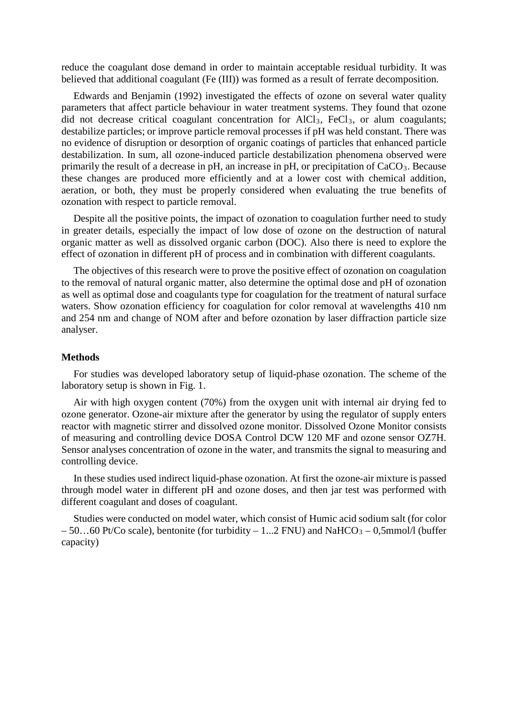reduce the coagulant dose demand in order to maintain acceptable residual turbidity. It was believed that additional coagulant (Fe (III)) was formed as a result of ferrate decomposition.

Edwards and Benjamin (1992) investigated the effects of ozone on several water quality parameters that affect particle behaviour in water treatment systems. They found that ozone did not decrease critical coagulant concentration for  $AICI_3$ ,  $FeCl_3$ , or alum coagulants; destabilize particles; or improve particle removal processes if pH was held constant. There was no evidence of disruption or desorption of organic coatings of particles that enhanced particle destabilization. In sum, all ozone-induced particle destabilization phenomena observed were primarily the result of a decrease in pH, an increase in pH, or precipitation of CaCO<sub>3</sub>. Because these changes are produced more efficiently and at a lower cost with chemical addition, aeration, or both, they must be properly considered when evaluating the true benefits of ozonation with respect to particle removal.

Despite all the positive points, the impact of ozonation to coagulation further need to study in greater details, especially the impact of low dose of ozone on the destruction of natural organic matter as well as dissolved organic carbon (DOC). Also there is need to explore the effect of ozonation in different pH of process and in combination with different coagulants.

The objectives of this research were to prove the positive effect of ozonation on coagulation to the removal of natural organic matter, also determine the optimal dose and pH of ozonation as well as optimal dose and coagulants type for coagulation for the treatment of natural surface waters. Show ozonation efficiency for coagulation for color removal at wavelengths 410 nm and 254 nm and change of NOM after and before ozonation by laser diffraction particle size analyser.

# **Methods**

For studies was developed laboratory setup of liquid-phase ozonation. The scheme of the laboratory setup is shown in Fig. 1.

Air with high oxygen content (70%) from the oxygen unit with internal air drying fed to ozone generator. Ozone-air mixture after the generator by using the regulator of supply enters reactor with magnetic stirrer and dissolved ozone monitor. Dissolved Ozone Monitor consists of measuring and controlling device DOSA Control DCW 120 MF and ozone sensor OZ7H. Sensor analyses concentration of ozone in the water, and transmits the signal to measuring and controlling device.

In these studies used indirect liquid-phase ozonation. At first the ozone-air mixture is passed through model water in different pH and ozone doses, and then jar test was performed with different coagulant and doses of coagulant.

Studies were conducted on model water, which consist of Humic acid sodium salt (for color  $-50...60$  Pt/Co scale), bentonite (for turbidity  $-1...2$  FNU) and NaHCO<sub>3</sub>  $-0.5$ mmol/l (buffer capacity)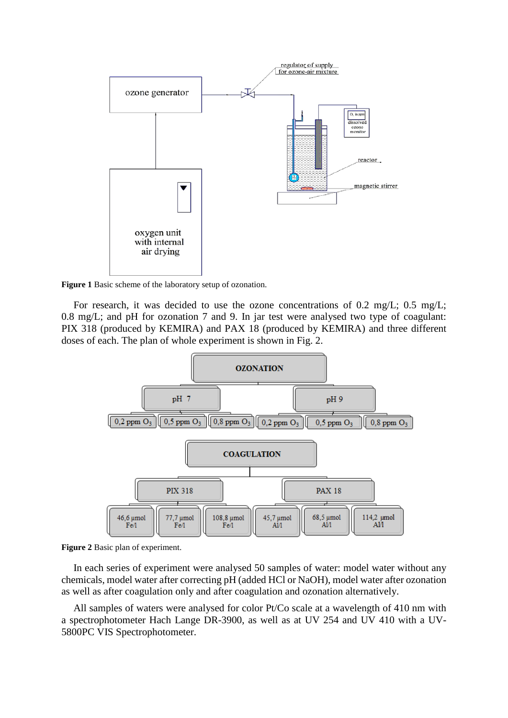

**Figure 1** Basic scheme of the laboratory setup of ozonation.

For research, it was decided to use the ozone concentrations of 0.2 mg/L; 0.5 mg/L; 0.8 mg/L; and pH for ozonation 7 and 9. In jar test were analysed two type of coagulant: PIX 318 (produced by KEMIRA) and PAX 18 (produced by KEMIRA) and three different doses of each. The plan of whole experiment is shown in Fig. 2.



**Figure 2** Basic plan of experiment.

In each series of experiment were analysed 50 samples of water: model water without any chemicals, model water after correcting pH (added HCl or NaOH), model water after ozonation as well as after coagulation only and after coagulation and ozonation alternatively.

All samples of waters were analysed for color Pt/Co scale at a wavelength of 410 nm with a spectrophotometer Hach Lange DR-3900, as well as at UV 254 and UV 410 with a [UV-](https://www.facebook.com/293584794154873)[5800PC VIS Spectrophotometer.](https://www.facebook.com/293584794154873)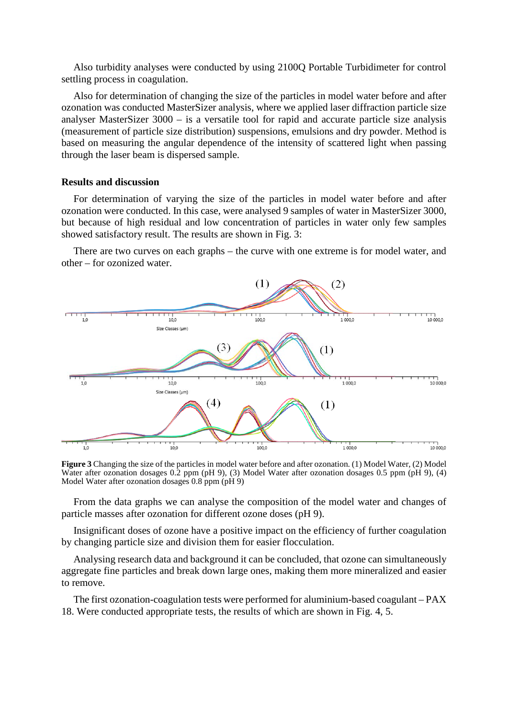Also turbidity analyses were conducted by using 2100Q Portable Turbidimeter for control settling process in coagulation.

Also for determination of changing the size of the particles in model water before and after ozonation was conducted MasterSizer analysis, where we applied laser diffraction particle size analyser MasterSizer 3000 – is a versatile tool for rapid and accurate particle size analysis (measurement of particle size distribution) suspensions, emulsions and dry powder. Method is based on measuring the angular dependence of the intensity of scattered light when passing through the laser beam is dispersed sample.

## **Results and discussion**

For determination of varying the size of the particles in model water before and after ozonation were conducted. In this case, were analysed 9 samples of water in MasterSizer 3000, but because of high residual and low concentration of particles in water only few samples showed satisfactory result. The results are shown in Fig. 3:

There are two curves on each graphs – the curve with one extreme is for model water, and other – for ozonized water.



**Figure 3** Changing the size of the particles in model water before and after ozonation. (1) Model Water, (2) Model Water after ozonation dosages 0.2 ppm (pH 9), (3) Model Water after ozonation dosages 0.5 ppm (pH 9), (4) Model Water after ozonation dosages  $0.8$  ppm (pH 9)

From the data graphs we can analyse the composition of the model water and changes of particle masses after ozonation for different ozone doses (pH 9).

Insignificant doses of ozone have a positive impact on the efficiency of further coagulation by changing particle size and division them for easier flocculation.

Analysing research data and background it can be concluded, that ozone can simultaneously aggregate fine particles and break down large ones, making them more mineralized and easier to remove.

The first ozonation-coagulation tests were performed for aluminium-based coagulant – PAX 18. Were conducted appropriate tests, the results of which are shown in Fig. 4, 5.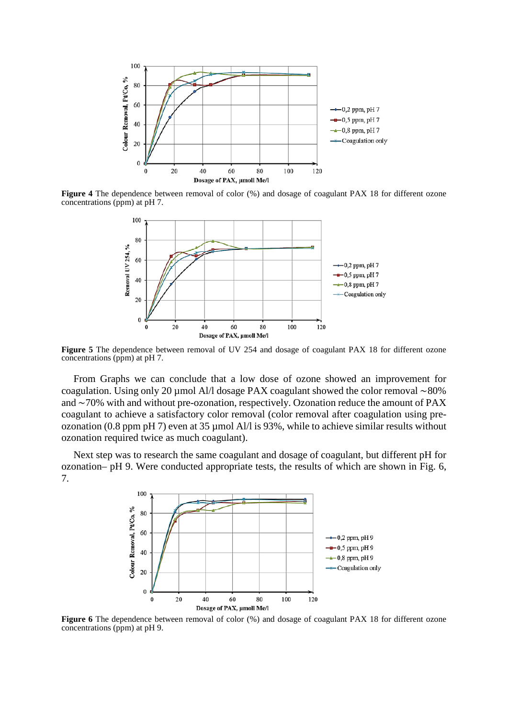

**Figure 4** The dependence between removal of color (%) and dosage of coagulant PAX 18 for different ozone concentrations (ppm) at pH 7.



**Figure 5** The dependence between removal of UV 254 and dosage of coagulant PAX 18 for different ozone concentrations (ppm) at pH 7.

From Graphs we can conclude that a low dose of ozone showed an improvement for coagulation. Using only 20 µmol Al/l dosage PAX coagulant showed the color removal ∼80% and ∼70% with and without pre-ozonation, respectively. Ozonation reduce the amount of PAX coagulant to achieve a satisfactory color removal (color removal after coagulation using preozonation (0.8 ppm pH 7) even at 35 µmol Al/l is 93%, while to achieve similar results without ozonation required twice as much coagulant).

Next step was to research the same coagulant and dosage of coagulant, but different pH for ozonation– pH 9. Were conducted appropriate tests, the results of which are shown in Fig. 6, 7.



**Figure 6** The dependence between removal of color (%) and dosage of coagulant PAX 18 for different ozone concentrations (ppm) at pH 9.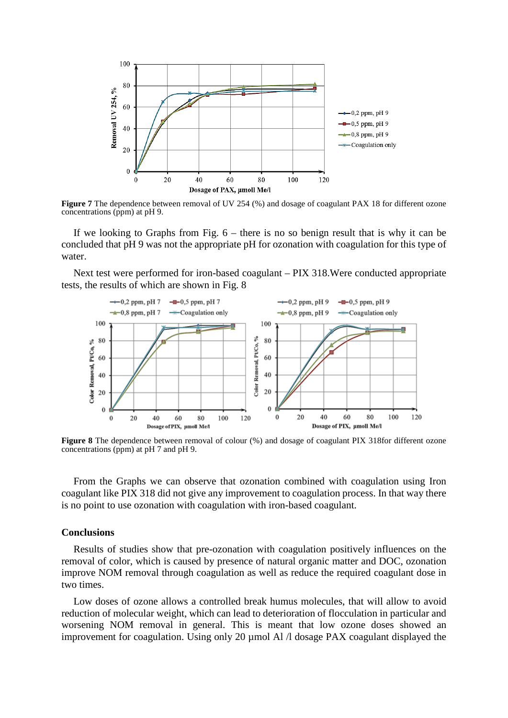

**Figure 7** The dependence between removal of UV 254 (%) and dosage of coagulant PAX 18 for different ozone concentrations (ppm) at pH 9.

If we looking to Graphs from Fig.  $6$  – there is no so benign result that is why it can be concluded that pH 9 was not the appropriate pH for ozonation with coagulation for this type of water.

Next test were performed for iron-based coagulant – PIX 318.Were conducted appropriate tests, the results of which are shown in Fig. 8



**Figure 8** The dependence between removal of colour (%) and dosage of coagulant PIX 318for different ozone concentrations (ppm) at pH 7 and pH 9.

From the Graphs we can observe that ozonation combined with coagulation using Iron coagulant like PIX 318 did not give any improvement to coagulation process. In that way there is no point to use ozonation with coagulation with iron-based coagulant.

## **Conclusions**

Results of studies show that pre-ozonation with coagulation positively influences on the removal of color, which is caused by presence of natural organic matter and DOC, ozonation improve NOM removal through coagulation as well as reduce the required coagulant dose in two times.

Low doses of ozone allows a controlled break humus molecules, that will allow to avoid reduction of molecular weight, which can lead to deterioration of flocculation in particular and worsening NOM removal in general. This is meant that low ozone doses showed an improvement for coagulation. Using only 20 µmol Al  $\Lambda$  dosage PAX coagulant displayed the